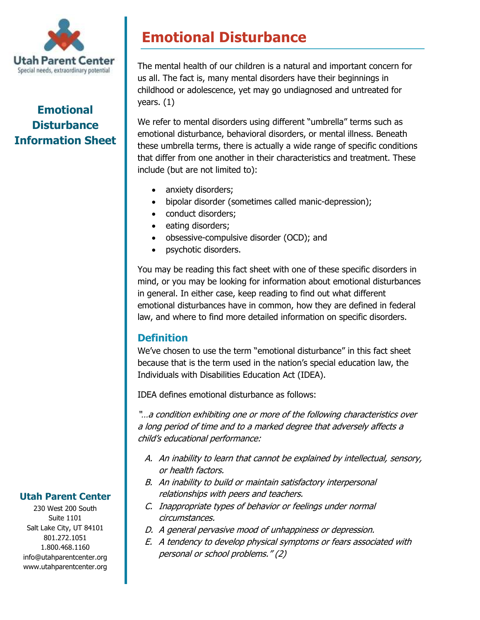

# **Emotional Disturbance Information Sheet**

# **Emotional Disturbance**

The mental health of our children is a natural and important concern for us all. The fact is, many mental disorders have their beginnings in childhood or adolescence, yet may go undiagnosed and untreated for years. (1)

We refer to mental disorders using different "umbrella" terms such as emotional disturbance, behavioral disorders, or mental illness. Beneath these umbrella terms, there is actually a wide range of specific conditions that differ from one another in their characteristics and treatment. These include (but are not limited to):

- anxiety disorders;
- bipolar disorder (sometimes called manic-depression);
- conduct disorders;
- eating disorders;
- obsessive-compulsive disorder (OCD); and
- psychotic disorders.

You may be reading this fact sheet with one of these specific disorders in mind, or you may be looking for information about emotional disturbances in general. In either case, keep reading to find out what different emotional disturbances have in common, how they are defined in federal law, and where to find more detailed information on specific disorders.

#### **Definition**

We've chosen to use the term "emotional disturbance" in this fact sheet because that is the term used in the nation's special education law, the Individuals with Disabilities Education Act (IDEA).

IDEA defines emotional disturbance as follows:

"…a condition exhibiting one or more of the following characteristics over a long period of time and to a marked degree that adversely affects a child's educational performance:

- A. An inability to learn that cannot be explained by intellectual, sensory, or health factors.
- B. An inability to build or maintain satisfactory interpersonal relationships with peers and teachers.
- C. Inappropriate types of behavior or feelings under normal circumstances.
- D. A general pervasive mood of unhappiness or depression.
- E. A tendency to develop physical symptoms or fears associated with personal or school problems." (2)

#### **Utah Parent Center**

230 West 200 South Suite 1101 Salt Lake City, UT 84101 801.272.1051 1.800.468.1160 info@utahparentcenter.org www.utahparentcenter.org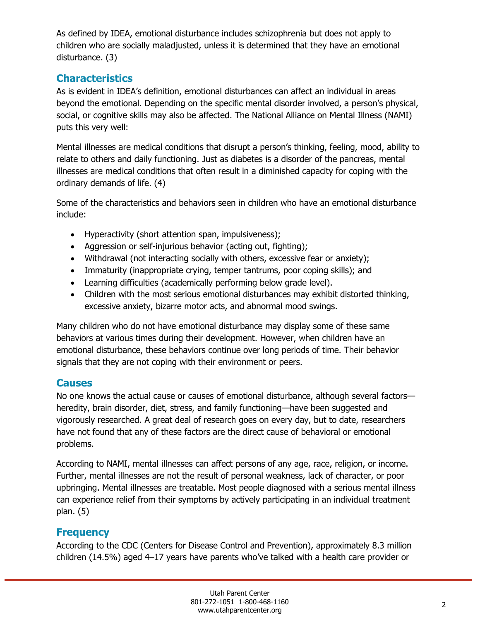As defined by IDEA, emotional disturbance includes schizophrenia but does not apply to children who are socially maladjusted, unless it is determined that they have an emotional disturbance. (3)

#### **Characteristics**

As is evident in IDEA's definition, emotional disturbances can affect an individual in areas beyond the emotional. Depending on the specific mental disorder involved, a person's physical, social, or cognitive skills may also be affected. The National Alliance on Mental Illness (NAMI) puts this very well:

Mental illnesses are medical conditions that disrupt a person's thinking, feeling, mood, ability to relate to others and daily functioning. Just as diabetes is a disorder of the pancreas, mental illnesses are medical conditions that often result in a diminished capacity for coping with the ordinary demands of life. (4)

Some of the characteristics and behaviors seen in children who have an emotional disturbance include:

- Hyperactivity (short attention span, impulsiveness);
- Aggression or self-injurious behavior (acting out, fighting);
- Withdrawal (not interacting socially with others, excessive fear or anxiety);
- Immaturity (inappropriate crying, temper tantrums, poor coping skills); and
- Learning difficulties (academically performing below grade level).
- Children with the most serious emotional disturbances may exhibit distorted thinking, excessive anxiety, bizarre motor acts, and abnormal mood swings.

Many children who do not have emotional disturbance may display some of these same behaviors at various times during their development. However, when children have an emotional disturbance, these behaviors continue over long periods of time. Their behavior signals that they are not coping with their environment or peers.

# **Causes**

No one knows the actual cause or causes of emotional disturbance, although several factors heredity, brain disorder, diet, stress, and family functioning—have been suggested and vigorously researched. A great deal of research goes on every day, but to date, researchers have not found that any of these factors are the direct cause of behavioral or emotional problems.

According to NAMI, mental illnesses can affect persons of any age, race, religion, or income. Further, mental illnesses are not the result of personal weakness, lack of character, or poor upbringing. Mental illnesses are treatable. Most people diagnosed with a serious mental illness can experience relief from their symptoms by actively participating in an individual treatment plan. (5)

# **Frequency**

According to the CDC (Centers for Disease Control and Prevention), approximately 8.3 million children (14.5%) aged 4–17 years have parents who've talked with a health care provider or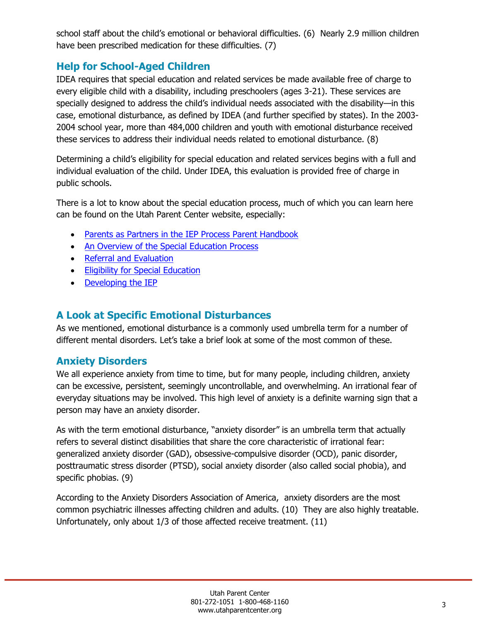school staff about the child's emotional or behavioral difficulties. (6) Nearly 2.9 million children have been prescribed medication for these difficulties. (7)

# **Help for School-Aged Children**

IDEA requires that special education and related services be made available free of charge to every eligible child with a disability, including preschoolers (ages 3-21). These services are specially designed to address the child's individual needs associated with the disability—in this case, emotional disturbance, as defined by IDEA (and further specified by states). In the 2003- 2004 school year, more than 484,000 children and youth with emotional disturbance received these services to address their individual needs related to emotional disturbance. (8)

Determining a child's eligibility for special education and related services begins with a full and individual evaluation of the child. Under IDEA, this evaluation is provided free of charge in public schools.

There is a lot to know about the special education process, much of which you can learn here can be found on the Utah Parent Center website, especially:

- [Parents as Partners in the IEP Process Parent Handbook](http://www.utahparentcenter.org/publications/handbooks/)
- [An Overview of the Special Education Process](http://www.utahparentcenter.org/publications/infosheets/an-overview-of-the-special-education-process/)
- [Referral and Evaluation](http://www.utahparentcenter.org/publications/infosheets/referral-and-evaluation/)
- [Eligibility for Special Education](http://www.utahparentcenter.org/publications/infosheets/iep-info-sheets/eligibility-for-special-education-services/)
- [Developing the IEP](http://www.utahparentcenter.org/resources/school-services/ieps/developing-the-iep/)

# **A Look at Specific Emotional Disturbances**

As we mentioned, emotional disturbance is a commonly used umbrella term for a number of different mental disorders. Let's take a brief look at some of the most common of these.

# **Anxiety Disorders**

We all experience anxiety from time to time, but for many people, including children, anxiety can be excessive, persistent, seemingly uncontrollable, and overwhelming. An irrational fear of everyday situations may be involved. This high level of anxiety is a definite warning sign that a person may have an anxiety disorder.

As with the term emotional disturbance, "anxiety disorder" is an umbrella term that actually refers to several distinct disabilities that share the core characteristic of irrational fear: generalized anxiety disorder (GAD), obsessive-compulsive disorder (OCD), panic disorder, posttraumatic stress disorder (PTSD), social anxiety disorder (also called social phobia), and specific phobias. (9)

According to the Anxiety Disorders Association of America, anxiety disorders are the most common psychiatric illnesses affecting children and adults. (10) They are also highly treatable. Unfortunately, only about 1/3 of those affected receive treatment. (11)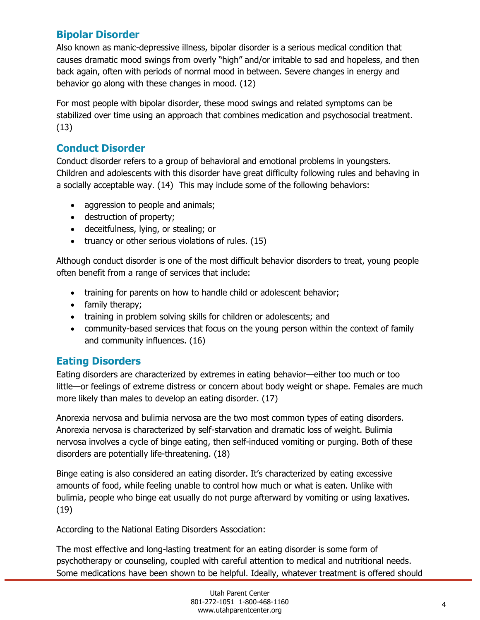# **Bipolar Disorder**

Also known as manic-depressive illness, bipolar disorder is a serious medical condition that causes dramatic mood swings from overly "high" and/or irritable to sad and hopeless, and then back again, often with periods of normal mood in between. Severe changes in energy and behavior go along with these changes in mood. (12)

For most people with bipolar disorder, these mood swings and related symptoms can be stabilized over time using an approach that combines medication and psychosocial treatment. (13)

# **Conduct Disorder**

Conduct disorder refers to a group of behavioral and emotional problems in youngsters. Children and adolescents with this disorder have great difficulty following rules and behaving in a socially acceptable way. (14) This may include some of the following behaviors:

- aggression to people and animals;
- destruction of property;
- deceitfulness, lying, or stealing; or
- $\bullet$  truancy or other serious violations of rules. (15)

Although conduct disorder is one of the most difficult behavior disorders to treat, young people often benefit from a range of services that include:

- training for parents on how to handle child or adolescent behavior;
- family therapy;
- training in problem solving skills for children or adolescents; and
- community-based services that focus on the young person within the context of family and community influences. (16)

# **Eating Disorders**

Eating disorders are characterized by extremes in eating behavior—either too much or too little—or feelings of extreme distress or concern about body weight or shape. Females are much more likely than males to develop an eating disorder. (17)

Anorexia nervosa and bulimia nervosa are the two most common types of eating disorders. Anorexia nervosa is characterized by self-starvation and dramatic loss of weight. Bulimia nervosa involves a cycle of binge eating, then self-induced vomiting or purging. Both of these disorders are potentially life-threatening. (18)

Binge eating is also considered an eating disorder. It's characterized by eating excessive amounts of food, while feeling unable to control how much or what is eaten. Unlike with bulimia, people who binge eat usually do not purge afterward by vomiting or using laxatives. (19)

According to the National Eating Disorders Association:

The most effective and long-lasting treatment for an eating disorder is some form of psychotherapy or counseling, coupled with careful attention to medical and nutritional needs. Some medications have been shown to be helpful. Ideally, whatever treatment is offered should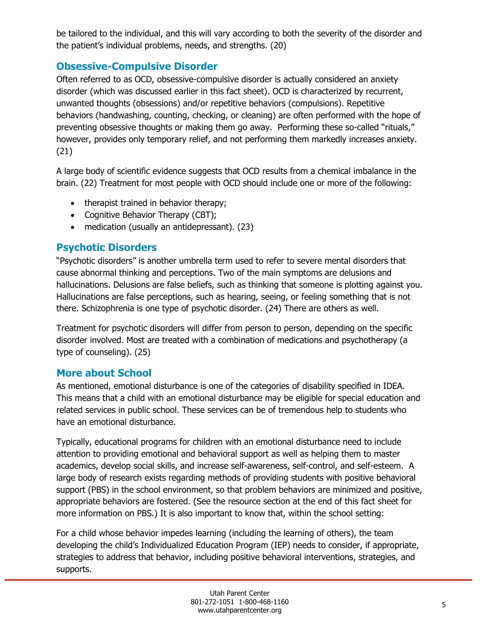be tailored to the individual, and this will vary according to both the severity of the disorder and the patient's individual problems, needs, and strengths. (20)

# **Obsessive-Compulsive Disorder**

Often referred to as OCD, obsessive-compulsive disorder is actually considered an anxiety disorder (which was discussed earlier in this fact sheet). OCD is characterized by recurrent, unwanted thoughts (obsessions) and/or repetitive behaviors (compulsions). Repetitive behaviors (handwashing, counting, checking, or cleaning) are often performed with the hope of preventing obsessive thoughts or making them go away. Performing these so-called "rituals," however, provides only temporary relief, and not performing them markedly increases anxiety. (21)

A large body of scientific evidence suggests that OCD results from a chemical imbalance in the brain. (22) Treatment for most people with OCD should include one or more of the following:

- therapist trained in behavior therapy;
- Cognitive Behavior Therapy (CBT);
- medication (usually an antidepressant). (23)

#### **Psychotic Disorders**

"Psychotic disorders" is another umbrella term used to refer to severe mental disorders that cause abnormal thinking and perceptions. Two of the main symptoms are delusions and hallucinations. Delusions are false beliefs, such as thinking that someone is plotting against you. Hallucinations are false perceptions, such as hearing, seeing, or feeling something that is not there. Schizophrenia is one type of psychotic disorder. (24) There are others as well.

Treatment for psychotic disorders will differ from person to person, depending on the specific disorder involved. Most are treated with a combination of medications and psychotherapy (a type of counseling). (25)

#### **More about School**

As mentioned, emotional disturbance is one of the categories of disability specified in IDEA. This means that a child with an emotional disturbance may be eligible for special education and related services in public school. These services can be of tremendous help to students who have an emotional disturbance.

Typically, educational programs for children with an emotional disturbance need to include attention to providing emotional and behavioral support as well as helping them to master academics, develop social skills, and increase self-awareness, self-control, and self-esteem. A large body of research exists regarding methods of providing students with positive behavioral support (PBS) in the school environment, so that problem behaviors are minimized and positive, appropriate behaviors are fostered. (See the resource section at the end of this fact sheet for more information on PBS.) It is also important to know that, within the school setting:

For a child whose behavior impedes learning (including the learning of others), the team developing the child's Individualized Education Program (IEP) needs to consider, if appropriate, strategies to address that behavior, including positive behavioral interventions, strategies, and supports.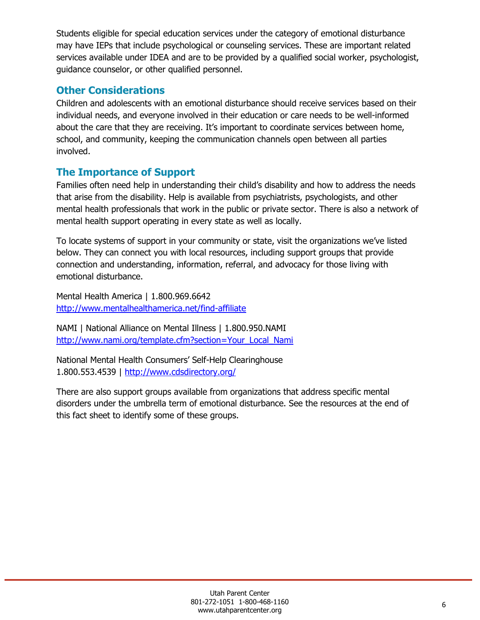Students eligible for special education services under the category of emotional disturbance may have IEPs that include psychological or counseling services. These are important related services available under IDEA and are to be provided by a qualified social worker, psychologist, guidance counselor, or other qualified personnel.

#### **Other Considerations**

Children and adolescents with an emotional disturbance should receive services based on their individual needs, and everyone involved in their education or care needs to be well-informed about the care that they are receiving. It's important to coordinate services between home, school, and community, keeping the communication channels open between all parties involved.

#### **The Importance of Support**

Families often need help in understanding their child's disability and how to address the needs that arise from the disability. Help is available from psychiatrists, psychologists, and other mental health professionals that work in the public or private sector. There is also a network of mental health support operating in every state as well as locally.

To locate systems of support in your community or state, visit the organizations we've listed below. They can connect you with local resources, including support groups that provide connection and understanding, information, referral, and advocacy for those living with emotional disturbance.

Mental Health America | 1.800.969.6642 <http://www.mentalhealthamerica.net/find-affiliate>

NAMI | National Alliance on Mental Illness | 1.800.950.NAMI [http://www.nami.org/template.cfm?section=Your\\_Local\\_Nami](http://www.nami.org/template.cfm?section=Your_Local_Nami)

National Mental Health Consumers' Self-Help Clearinghouse 1.800.553.4539 |<http://www.cdsdirectory.org/>

There are also support groups available from organizations that address specific mental disorders under the umbrella term of emotional disturbance. See the resources at the end of this fact sheet to identify some of these groups.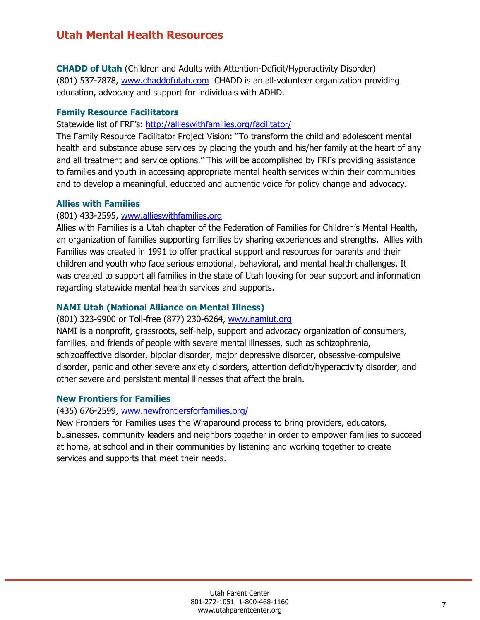# **Utah Mental Health Resources**

**CHADD of Utah** (Children and Adults with Attention-Deficit/Hyperactivity Disorder) (801) 537-7878, [www.chaddofutah.com](http://www.chaddofutah.com/) CHADD is an all-volunteer organization providing education, advocacy and support for individuals with ADHD.

#### **Family Resource Facilitators**

Statewide list of FRF's: <http://allieswithfamilies.org/facilitator/>

The Family Resource Facilitator Project Vision: "To transform the child and adolescent mental health and substance abuse services by placing the youth and his/her family at the heart of any and all treatment and service options." This will be accomplished by FRFs providing assistance to families and youth in accessing appropriate mental health services within their communities and to develop a meaningful, educated and authentic voice for policy change and advocacy.

#### **Allies with Families**

#### (801) 433-2595, [www.allieswithfamilies.org](http://www.allieswithfamilies.org/)

Allies with Families is a Utah chapter of the Federation of Families for Children's Mental Health, an organization of families supporting families by sharing experiences and strengths. Allies with Families was created in 1991 to offer practical support and resources for parents and their children and youth who face serious emotional, behavioral, and mental health challenges. It was created to support all families in the state of Utah looking for peer support and information regarding statewide mental health services and supports.

#### **NAMI Utah (National Alliance on Mental Illness)**

#### (801) 323-9900 or Toll-free (877) 230-6264, [www.namiut.org](http://www.namiut.org/)

NAMI is a nonprofit, grassroots, self-help, support and advocacy organization of consumers, families, and friends of people with severe mental illnesses, such as schizophrenia, schizoaffective disorder, bipolar disorder, major depressive disorder, obsessive-compulsive disorder, panic and other severe anxiety disorders, attention deficit/hyperactivity disorder, and other severe and persistent mental illnesses that affect the brain.

#### **New Frontiers for Families**

#### (435) 676-2599, [www.newfrontiersforfamilies.org/](http://www.newfrontiersforfamilies.org/)

New Frontiers for Families uses the Wraparound process to bring providers, educators, businesses, community leaders and neighbors together in order to empower families to succeed at home, at school and in their communities by listening and working together to create services and supports that meet their needs.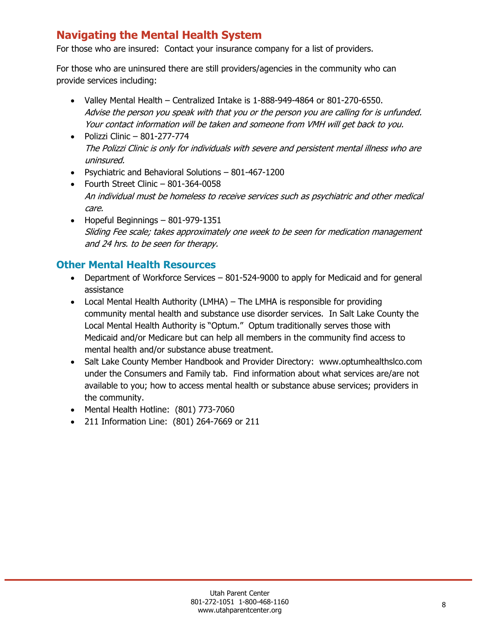# **Navigating the Mental Health System**

For those who are insured: Contact your insurance company for a list of providers.

For those who are uninsured there are still providers/agencies in the community who can provide services including:

- Valley Mental Health Centralized Intake is 1-888-949-4864 or 801-270-6550. Advise the person you speak with that you or the person you are calling for is unfunded. Your contact information will be taken and someone from VMH will get back to you.
- Polizzi Clinic 801-277-774 The Polizzi Clinic is only for individuals with severe and persistent mental illness who are uninsured.
- Psychiatric and Behavioral Solutions 801-467-1200
- Fourth Street Clinic  $-801-364-0058$ An individual must be homeless to receive services such as psychiatric and other medical care.
- $\bullet$  Hopeful Beginnings 801-979-1351 Sliding Fee scale; takes approximately one week to be seen for medication management and 24 hrs. to be seen for therapy.

# **Other Mental Health Resources**

- Department of Workforce Services 801-524-9000 to apply for Medicaid and for general assistance
- Local Mental Health Authority (LMHA) The LMHA is responsible for providing community mental health and substance use disorder services. In Salt Lake County the Local Mental Health Authority is "Optum." Optum traditionally serves those with Medicaid and/or Medicare but can help all members in the community find access to mental health and/or substance abuse treatment.
- Salt Lake County Member Handbook and Provider Directory: www.optumhealthslco.com under the Consumers and Family tab. Find information about what services are/are not available to you; how to access mental health or substance abuse services; providers in the community.
- Mental Health Hotline: (801) 773-7060
- 211 Information Line: (801) 264-7669 or 211